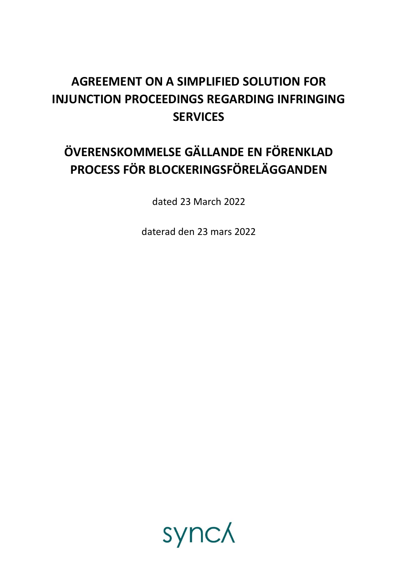## **AGREEMENT ON A SIMPLIFIED SOLUTION FOR INJUNCTION PROCEEDINGS REGARDING INFRINGING SERVICES**

# **ÖVERENSKOMMELSE GÄLLANDE EN FÖRENKLAD PROCESS FÖR BLOCKERINGSFÖRELÄGGANDEN**

dated 23 March 2022

daterad den 23 mars 2022

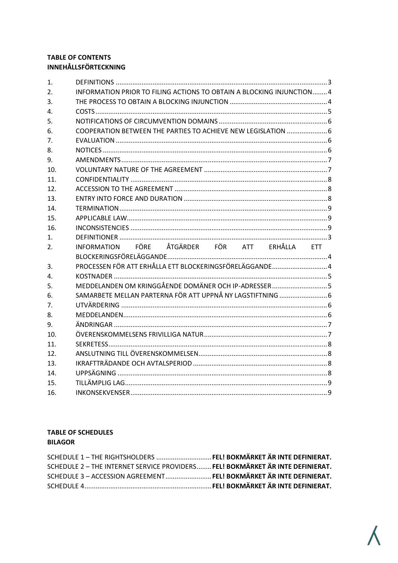#### **TABLE OF CONTENTS INNEHÅLLSFÖRTECKNING**

| 1.             |                                                                       |  |  |  |
|----------------|-----------------------------------------------------------------------|--|--|--|
| 2.             | INFORMATION PRIOR TO FILING ACTIONS TO OBTAIN A BLOCKING INJUNCTION 4 |  |  |  |
| 3.             |                                                                       |  |  |  |
| $\mathbf{4}$ . |                                                                       |  |  |  |
| 5.             |                                                                       |  |  |  |
| 6.             | COOPERATION BETWEEN THE PARTIES TO ACHIEVE NEW LEGISLATION  6         |  |  |  |
| 7.             |                                                                       |  |  |  |
| 8.             |                                                                       |  |  |  |
| 9.             |                                                                       |  |  |  |
| 10.            |                                                                       |  |  |  |
| 11.            |                                                                       |  |  |  |
| 12.            |                                                                       |  |  |  |
| 13.            |                                                                       |  |  |  |
| 14.            |                                                                       |  |  |  |
| 15.            |                                                                       |  |  |  |
| 16.            |                                                                       |  |  |  |
| 1.             |                                                                       |  |  |  |
|                |                                                                       |  |  |  |
| 2.             | INFORMATION FÖRE ÅTGÄRDER FÖR ATT ERHÅLLA ETT                         |  |  |  |
|                |                                                                       |  |  |  |
| 3.             | PROCESSEN FÖR ATT ERHÅLLA ETT BLOCKERINGSFÖRELÄGGANDE 4               |  |  |  |
| 4.             |                                                                       |  |  |  |
| 5.             | MEDDELANDEN OM KRINGGÅENDE DOMÄNER OCH IP-ADRESSER 5                  |  |  |  |
| 6.             |                                                                       |  |  |  |
| 7.             |                                                                       |  |  |  |
| 8.             |                                                                       |  |  |  |
| 9.             |                                                                       |  |  |  |
| 10.            |                                                                       |  |  |  |
| 11.            |                                                                       |  |  |  |
| 12.            |                                                                       |  |  |  |
| 13.            |                                                                       |  |  |  |
| 14.            |                                                                       |  |  |  |
| 15.<br>16.     |                                                                       |  |  |  |

#### **TABLE OF SCHEDULES BILAGOR**

| SCHEDULE 1 - THE RIGHTSHOLDERS  FEL! BOKMÄRKET ÄR INTE DEFINIERAT.             |  |
|--------------------------------------------------------------------------------|--|
| SCHEDULE 2 - THE INTERNET SERVICE PROVIDERS FEL! BOKMÄRKET ÄR INTE DEFINIERAT. |  |
| SCHEDULE 3 - ACCESSION AGREEMENT FEL! BOKMÄRKET ÄR INTE DEFINIERAT.            |  |
|                                                                                |  |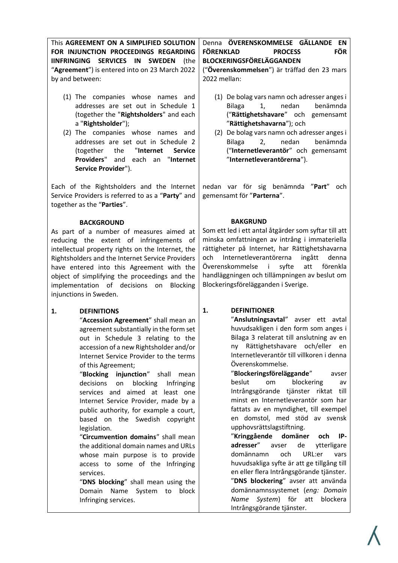<span id="page-2-1"></span><span id="page-2-0"></span>

| This AGREEMENT ON A SIMPLIFIED SOLUTION<br>FOR INJUNCTION PROCEEDINGS REGARDING<br>IINFRINGING SERVICES IN SWEDEN<br>(the<br>"Agreement") is entered into on 23 March 2022<br>by and between:                                                                                                                                                                                                                                                                                                                                                                                                                                                                                                                                                                                                            | Denna ÖVERENSKOMMELSE GÄLLANDE EN<br><b>FÖRENKLAD</b><br><b>FÖR</b><br><b>PROCESS</b><br>BLOCKERINGSFÖRELÄGGANDEN<br>("Överenskommelsen") är träffad den 23 mars<br>2022 mellan:                                                                                                                                                                                                                                                                                                                                                                                                                                                                                                                                                                                                                                                                                                                 |  |  |  |
|----------------------------------------------------------------------------------------------------------------------------------------------------------------------------------------------------------------------------------------------------------------------------------------------------------------------------------------------------------------------------------------------------------------------------------------------------------------------------------------------------------------------------------------------------------------------------------------------------------------------------------------------------------------------------------------------------------------------------------------------------------------------------------------------------------|--------------------------------------------------------------------------------------------------------------------------------------------------------------------------------------------------------------------------------------------------------------------------------------------------------------------------------------------------------------------------------------------------------------------------------------------------------------------------------------------------------------------------------------------------------------------------------------------------------------------------------------------------------------------------------------------------------------------------------------------------------------------------------------------------------------------------------------------------------------------------------------------------|--|--|--|
| (1) The companies whose names and<br>addresses are set out in Schedule 1<br>(together the "Rightsholders" and each<br>a "Rightsholder");<br>(2) The companies whose names and<br>addresses are set out in Schedule 2<br>"Internet<br>(together<br>the<br><b>Service</b><br><b>Providers"</b><br>"Internet<br>and each<br>an<br>Service Provider").                                                                                                                                                                                                                                                                                                                                                                                                                                                       | (1) De bolag vars namn och adresser anges i<br>benämnda<br>1,<br>nedan<br><b>Bilaga</b><br>("Rättighetshavare" och gemensamt<br>"Rättighetshavarna"); och<br>(2) De bolag vars namn och adresser anges i<br>nedan<br>benämnda<br><b>Bilaga</b><br>2,<br>("Internetleverantör" och gemensamt<br>"Internetleverantörerna").                                                                                                                                                                                                                                                                                                                                                                                                                                                                                                                                                                        |  |  |  |
| Each of the Rightsholders and the Internet<br>Service Providers is referred to as a "Party" and<br>together as the "Parties".                                                                                                                                                                                                                                                                                                                                                                                                                                                                                                                                                                                                                                                                            | nedan var för sig benämnda "Part"<br>och<br>gemensamt för "Parterna".                                                                                                                                                                                                                                                                                                                                                                                                                                                                                                                                                                                                                                                                                                                                                                                                                            |  |  |  |
| <b>BACKGROUND</b><br>As part of a number of measures aimed at<br>reducing the extent of infringements of<br>intellectual property rights on the Internet, the<br>Rightsholders and the Internet Service Providers<br>have entered into this Agreement with the<br>object of simplifying the proceedings and the<br>implementation of decisions on Blocking<br>injunctions in Sweden.                                                                                                                                                                                                                                                                                                                                                                                                                     | <b>BAKGRUND</b><br>Som ett led i ett antal åtgärder som syftar till att<br>minska omfattningen av intrång i immateriella<br>rättigheter på Internet, har Rättighetshavarna<br>och Internetleverantörerna<br>ingått<br>denna<br>Överenskommelse i<br>syfte<br>förenkla<br>att<br>handläggningen och tillämpningen av beslut om<br>Blockeringsförelägganden i Sverige.                                                                                                                                                                                                                                                                                                                                                                                                                                                                                                                             |  |  |  |
| 1.<br><b>DEFINITIONS</b><br>"Accession Agreement" shall mean an<br>agreement substantially in the form set<br>out in Schedule 3 relating to the<br>accession of a new Rightsholder and/or<br>Internet Service Provider to the terms<br>of this Agreement;<br>"Blocking injunction" shall<br>mean<br>decisions<br>blocking<br>on<br><b>Infringing</b><br>services and aimed at least one<br>Internet Service Provider, made by a<br>public authority, for example a court,<br>based on the Swedish copyright<br>legislation.<br>"Circumvention domains" shall mean<br>the additional domain names and URLs<br>whose main purpose is to provide<br>access to some of the Infringing<br>services.<br>"DNS blocking" shall mean using the<br>Domain<br>Name<br>System<br>to<br>block<br>Infringing services. | 1.<br><b>DEFINITIONER</b><br>"Anslutningsavtal" avser ett avtal<br>huvudsakligen i den form som anges i<br>Bilaga 3 relaterat till anslutning av en<br>ny Rättighetshavare och/eller<br>en<br>Internetleverantör till villkoren i denna<br>Överenskommelse.<br>"Blockeringsföreläggande"<br>avser<br>beslut<br>om<br>blockering<br>av<br>Intrångsgörande tjänster riktat till<br>minst en Internetleverantör som har<br>fattats av en myndighet, till exempel<br>en domstol, med stöd av svensk<br>upphovsrättslagstiftning.<br>"Kringgående<br>domäner<br>och<br>IP-<br>adresser"<br>de<br>avser<br>ytterligare<br>domännamn<br>och<br>URL:er<br>vars<br>huvudsakliga syfte är att ge tillgång till<br>en eller flera Intrångsgörande tjänster.<br>"DNS blockering" avser att använda<br>domännamnssystemet (eng: Domain<br>System) för<br>Name<br>att<br>blockera<br>Intrångsgörande tjänster. |  |  |  |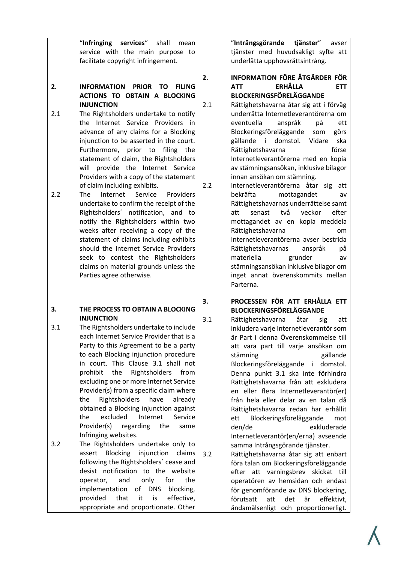<span id="page-3-4"></span><span id="page-3-3"></span><span id="page-3-2"></span><span id="page-3-1"></span><span id="page-3-0"></span>

|            | "Infringing<br>services" shall<br>mean<br>service with the main purpose to<br>facilitate copyright infringement.                                                                                                                                                                                                                                                                                                                                                                                                                                                                                                                                                                                                                                           |            | "Intrångsgörande tjänster"<br>avser<br>tjänster med huvudsakligt syfte att<br>underlätta upphovsrättsintrång.                                                                                                                                                                                                                                                                                                                                                                                                                                                                                                                                                                                                                       |
|------------|------------------------------------------------------------------------------------------------------------------------------------------------------------------------------------------------------------------------------------------------------------------------------------------------------------------------------------------------------------------------------------------------------------------------------------------------------------------------------------------------------------------------------------------------------------------------------------------------------------------------------------------------------------------------------------------------------------------------------------------------------------|------------|-------------------------------------------------------------------------------------------------------------------------------------------------------------------------------------------------------------------------------------------------------------------------------------------------------------------------------------------------------------------------------------------------------------------------------------------------------------------------------------------------------------------------------------------------------------------------------------------------------------------------------------------------------------------------------------------------------------------------------------|
|            |                                                                                                                                                                                                                                                                                                                                                                                                                                                                                                                                                                                                                                                                                                                                                            | 2.         | <b>INFORMATION FÖRE ÅTGÄRDER FÖR</b>                                                                                                                                                                                                                                                                                                                                                                                                                                                                                                                                                                                                                                                                                                |
| 2.         | <b>INFORMATION</b><br><b>PRIOR</b><br><b>TO</b><br><b>FILING</b><br><b>ACTIONS TO OBTAIN A BLOCKING</b>                                                                                                                                                                                                                                                                                                                                                                                                                                                                                                                                                                                                                                                    |            | <b>ERHÅLLA</b><br><b>ETT</b><br><b>ATT</b><br><b>BLOCKERINGSFÖRELÄGGANDE</b>                                                                                                                                                                                                                                                                                                                                                                                                                                                                                                                                                                                                                                                        |
| 2.1<br>2.2 | <b>INJUNCTION</b><br>The Rightsholders undertake to notify<br>the Internet Service Providers in<br>advance of any claims for a Blocking<br>injunction to be asserted in the court.<br>Furthermore, prior to filing the<br>statement of claim, the Rightsholders<br>will provide the Internet Service<br>Providers with a copy of the statement<br>of claim including exhibits.<br>Internet<br>Service<br>The<br>Providers<br>undertake to confirm the receipt of the<br>Rightsholders' notification, and to<br>notify the Rightsholders within two<br>weeks after receiving a copy of the<br>statement of claims including exhibits<br>should the Internet Service Providers<br>seek to contest the Rightsholders<br>claims on material grounds unless the | 2.1<br>2.2 | Rättighetshavarna åtar sig att i förväg<br>underrätta Internetleverantörerna om<br>eventuella<br>anspråk<br>рå<br>ett<br>Blockeringsföreläggande<br>som<br>görs<br>gällande i domstol. Vidare<br>ska<br>förse<br>Rättighetshavarna<br>Internetleverantörerna med en kopia<br>av stämningsansökan, inklusive bilagor<br>innan ansökan om stämning.<br>Internetleverantörerna åtar sig att<br>bekräfta<br>mottagandet<br>av<br>Rättighetshavarnas underrättelse samt<br>två<br>veckor<br>efter<br>senast<br>att<br>mottagandet av en kopia meddela<br>Rättighetshavarna<br>om<br>Internetleverantörerna avser bestrida<br>anspråk<br>Rättighetshavarnas<br>рå<br>materiella<br>grunder<br>av<br>stämningsansökan inklusive bilagor om |
|            | Parties agree otherwise.                                                                                                                                                                                                                                                                                                                                                                                                                                                                                                                                                                                                                                                                                                                                   | 3.         | inget annat överenskommits mellan<br>Parterna.<br>PROCESSEN FÖR ATT ERHÅLLA ETT                                                                                                                                                                                                                                                                                                                                                                                                                                                                                                                                                                                                                                                     |
| 3.         | THE PROCESS TO OBTAIN A BLOCKING<br><b>INJUNCTION</b>                                                                                                                                                                                                                                                                                                                                                                                                                                                                                                                                                                                                                                                                                                      | 3.1        | <b>BLOCKERINGSFÖRELÄGGANDE</b><br>Rättighetshavarna<br>åtar<br>sig<br>att                                                                                                                                                                                                                                                                                                                                                                                                                                                                                                                                                                                                                                                           |
| 3.1        | The Rightsholders undertake to include<br>each Internet Service Provider that is a<br>Party to this Agreement to be a party<br>to each Blocking injunction procedure<br>in court. This Clause 3.1 shall not<br>Rightsholders<br>prohibit<br>the<br>from<br>excluding one or more Internet Service<br>Provider(s) from a specific claim where<br>Rightsholders<br>the<br>have<br>already<br>obtained a Blocking injunction against<br>excluded<br>Internet<br>Service<br>the<br>Provider(s)<br>regarding<br>the<br>same<br>Infringing websites.                                                                                                                                                                                                             |            | inkludera varje Internetleverantör som<br>är Part i denna Överenskommelse till<br>att vara part till varje ansökan om<br>stämning<br>gällande<br>Blockeringsföreläggande i<br>domstol.<br>Denna punkt 3.1 ska inte förhindra<br>Rättighetshavarna från att exkludera<br>en eller flera Internetleverantör(er)<br>från hela eller delar av en talan då<br>Rättighetshavarna redan har erhållit<br>Blockeringsföreläggande<br>ett<br>mot<br>den/de<br>exkluderade<br>Internetleverantör(en/erna) avseende                                                                                                                                                                                                                             |
| 3.2        | The Rightsholders undertake only to<br><b>Blocking</b><br>injunction<br>assert<br>claims<br>following the Rightsholders' cease and<br>desist notification to the website<br>only<br>for<br>the<br>and<br>operator,<br>implementation<br>of DNS<br>blocking,<br>provided<br>that<br>it<br>is<br>effective,<br>appropriate and proportionate. Other                                                                                                                                                                                                                                                                                                                                                                                                          | 3.2        | samma Intrångsgörande tjänster.<br>Rättighetshavarna åtar sig att enbart<br>föra talan om Blockeringsföreläggande<br>efter att varningsbrev skickat till<br>operatören av hemsidan och endast<br>för genomförande av DNS blockering,<br>att<br>det<br>är<br>förutsatt<br>effektivt,<br>ändamålsenligt och proportionerligt.                                                                                                                                                                                                                                                                                                                                                                                                         |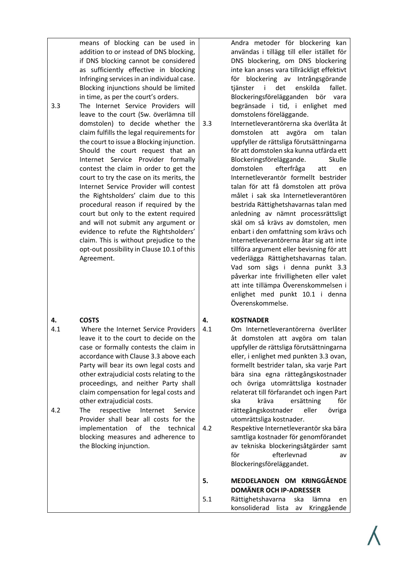means of blocking can be used in addition to or instead of DNS blocking, if DNS blocking cannot be considered as sufficiently effective in blocking Infringing services in an individual case. Blocking injunctions should be limited in time, as per the court's orders. 3.3 The Internet Service Providers will leave to the court (Sw. överlämna till domstolen) to decide whether the claim fulfills the legal requirements for the court to issue a Blocking injunction. Should the court request that an Internet Service Provider formally contest the claim in order to get the court to try the case on its merits, the Internet Service Provider will contest the Rightsholders' claim due to this procedural reason if required by the court but only to the extent required and will not submit any argument or evidence to refute the Rightsholders' claim. This is without prejudice to the opt-out possibility in Clause 10.1 of this Agreement.

#### <span id="page-4-0"></span>**4. COSTS**

- 4.1 Where the Internet Service Providers leave it to the court to decide on the case or formally contests the claim in accordance with Clause 3.3 above each Party will bear its own legal costs and other extrajudicial costs relating to the proceedings, and neither Party shall claim compensation for legal costs and other extrajudicial costs.
- 4.2 The respective Internet Service Provider shall bear all costs for the implementation of the technical blocking measures and adherence to the Blocking injunction.

Andra metoder för blockering kan användas i tillägg till eller istället för DNS blockering, om DNS blockering inte kan anses vara tillräckligt effektivt för blockering av Intrångsgörande tjänster i det enskilda fallet. Blockeringsförelägganden bör vara begränsade i tid, i enlighet med domstolens föreläggande.

<span id="page-4-3"></span>3.3 Internetleverantörerna ska överlåta åt domstolen att avgöra om talan uppfyller de rättsliga förutsättningarna för att domstolen ska kunna utfärda ett Blockeringsföreläggande. Skulle domstolen efterfråga att en Internetleverantör formellt bestrider talan för att få domstolen att pröva målet i sak ska Internetleverantören bestrida Rättighetshavarnas talan med anledning av nämnt processrättsligt skäl om så krävs av domstolen, men enbart i den omfattning som krävs och Internetleverantörerna åtar sig att inte tillföra argument eller bevisning för att vederlägga Rättighetshavarnas talan. Vad som sägs i denna punkt 3.3 påverkar inte frivilligheten eller valet att inte tillämpa Överenskommelsen i enlighet med punkt [10.1](#page-6-4) i denna Överenskommelse.

#### <span id="page-4-1"></span>**4. KOSTNADER**

- 4.1 Om Internetleverantörerna överlåter åt domstolen att avgöra om talan uppfyller de rättsliga förutsättningarna eller, i enlighet med punkte[n 3.3](#page-4-3) ovan, formellt bestrider talan, ska varje Part bära sina egna rättegångskostnader och övriga utomrättsliga kostnader relaterat till förfarandet och ingen Part ska kräva ersättning för rättegångskostnader eller övriga utomrättsliga kostnader.
- 4.2 Respektive Internetleverantör ska bära samtliga kostnader för genomförandet av tekniska blockeringsåtgärder samt för efterlevnad av Blockeringsföreläggandet.
- <span id="page-4-2"></span>**5. MEDDELANDEN OM KRINGGÅENDE DOMÄNER OCH IP-ADRESSER**
- 5.1 Rättighetshavarna ska lämna en konsoliderad lista av Kringgående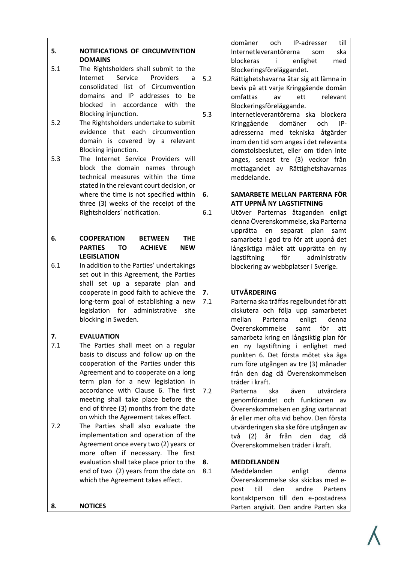#### <span id="page-5-0"></span>**5. NOTIFICATIONS OF CIRCUMVENTION DOMAINS**

- 5.1 The Rightsholders shall submit to the Internet Service Providers a consolidated list of Circumvention domains and IP addresses to be blocked in accordance with the Blocking injunction.
- 5.2 The Rightsholders undertake to submit evidence that each circumvention domain is covered by a relevant Blocking injunction.
- 5.3 The Internet Service Providers will block the domain names through technical measures within the time stated in the relevant court decision, or where the time is not specified within three (3) weeks of the receipt of the Rightsholders´ notification.

#### <span id="page-5-1"></span>**6. COOPERATION BETWEEN THE PARTIES TO ACHIEVE NEW LEGISLATION**

6.1 In addition to the Parties' undertakings set out in this Agreement, the Parties shall set up a separate plan and cooperate in good faith to achieve the long-term goal of establishing a new legislation for administrative site blocking in Sweden.

#### <span id="page-5-2"></span>**7. EVALUATION**

- 7.1 The Parties shall meet on a regular basis to discuss and follow up on the cooperation of the Parties under this Agreement and to cooperate on a long term plan for a new legislation in accordance with Clause 6. The first meeting shall take place before the end of three (3) months from the date on which the Agreement takes effect.
- 7.2 The Parties shall also evaluate the implementation and operation of the Agreement once every two (2) years or more often if necessary. The first evaluation shall take place prior to the end of two (2) years from the date on which the Agreement takes effect.

#### <span id="page-5-3"></span>**8. NOTICES**

domäner och IP-adresser till Internetleverantörerna som ska blockeras i enlighet med Blockeringsföreläggandet.

- 5.2 Rättighetshavarna åtar sig att lämna in bevis på att varje Kringgående domän omfattas av ett relevant Blockeringsföreläggande.
- 5.3 Internetleverantörerna ska blockera Kringgående domäner och IPadresserna med tekniska åtgärder inom den tid som anges i det relevanta domstolsbeslutet, eller om tiden inte anges, senast tre (3) veckor från mottagandet av Rättighetshavarnas meddelande.
- <span id="page-5-4"></span>**6. SAMARBETE MELLAN PARTERNA FÖR ATT UPPNÅ NY LAGSTIFTNING**
- 6.1 Utöver Parternas åtaganden enligt denna Överenskommelse, ska Parterna upprätta en separat plan samt samarbeta i god tro för att uppnå det långsiktiga målet att upprätta en ny lagstiftning för administrativ blockering av webbplatser i Sverige.

#### <span id="page-5-5"></span>**7. UTVÄRDERING**

- <span id="page-5-7"></span>7.1 Parterna ska träffas regelbundet för att diskutera och följa upp samarbetet mellan Parterna enligt denna Överenskommelse samt för att samarbeta kring en långsiktig plan för en ny lagstiftning i enlighet med punkten [6.](#page-5-4) Det första mötet ska äga rum före utgången av tre (3) månader från den dag då Överenskommelsen träder i kraft.
- 7.2 Parterna ska även utvärdera genomförandet och funktionen av Överenskommelsen en gång vartannat år eller mer ofta vid behov. Den första utvärderingen ska ske före utgången av två (2) år från den dag då Överenskommelsen träder i kraft.

#### <span id="page-5-6"></span>**8. MEDDELANDEN**

8.1 Meddelanden enligt denna Överenskommelse ska skickas med epost till den andre Partens kontaktperson till den e-postadress Parten angivit. Den andre Parten ska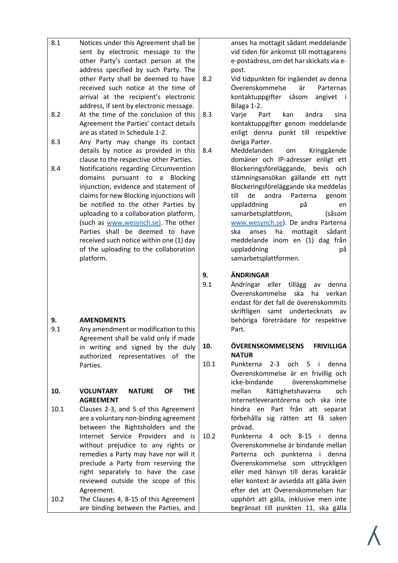|           | address specified by such Party. The<br>other Party shall be deemed to have                                                                                                                                                                                                                                                                                                                                                                                            | 8.2       | post.<br>Vid tidpunkten                                                                                                                                                                                     |
|-----------|------------------------------------------------------------------------------------------------------------------------------------------------------------------------------------------------------------------------------------------------------------------------------------------------------------------------------------------------------------------------------------------------------------------------------------------------------------------------|-----------|-------------------------------------------------------------------------------------------------------------------------------------------------------------------------------------------------------------|
|           | received such notice at the time of<br>arrival at the recipient's electronic<br>address, if sent by electronic message.                                                                                                                                                                                                                                                                                                                                                |           | Överenskomme<br>kontaktuppgift                                                                                                                                                                              |
| 8.2       | At the time of the conclusion of this<br>Agreement the Parties' contact details                                                                                                                                                                                                                                                                                                                                                                                        | 8.3       | Bilaga 1-2.<br>Varje<br>Part<br>kontaktuppgift                                                                                                                                                              |
| 8.3       | are as stated in Schedule 1-2.<br>Any Party may change its contact<br>details by notice as provided in this                                                                                                                                                                                                                                                                                                                                                            | 8.4       | enligt denna<br>övriga Parter.<br>Meddelanden                                                                                                                                                               |
| 8.4       | clause to the respective other Parties.<br>Notifications regarding Circumvention<br>domains<br>pursuant to a Blocking<br>injunction, evidence and statement of<br>claims for new Blocking injunctions will<br>be notified to the other Parties by<br>uploading to a collaboration platform,<br>(such as www.wesynch.se). The other<br>Parties shall be deemed to have<br>received such notice within one (1) day<br>of the uploading to the collaboration<br>platform. |           | domäner och<br>Blockeringsföre<br>stämningsansöl<br>Blockeringsföre<br>till<br>de<br>and<br>uppladdning<br>samarbetsplatt<br>www.wesynch.<br>ska<br>anses<br>meddelande in<br>uppladdning<br>samarbetsplatt |
| 9.<br>9.1 | <b>AMENDMENTS</b><br>Any amendment or modification to this<br>Agreement shall be valid only if made                                                                                                                                                                                                                                                                                                                                                                    | 9.<br>9.1 | <b>ÄNDRINGAR</b><br>Ändringar<br>ell<br>Överenskomme<br>endast för det<br>skriftligen<br>sar<br>behöriga föret<br>Part.                                                                                     |
|           | in writing and signed by the duly<br>authorized<br>representatives<br>of<br>the                                                                                                                                                                                                                                                                                                                                                                                        | 10.       | ÖVERENSKOMI<br><b>NATUR</b>                                                                                                                                                                                 |
|           | Parties.                                                                                                                                                                                                                                                                                                                                                                                                                                                               | 10.1      | Punkterna<br>$2 -$<br>Överenskomme<br>icke-bindande                                                                                                                                                         |
| 10.       | <b>NATURE</b><br>VOLUNTARY<br><b>OF</b><br><b>THE</b><br><b>AGREEMENT</b>                                                                                                                                                                                                                                                                                                                                                                                              |           | mellan<br>Rät<br>Internetleverar                                                                                                                                                                            |
| 10.1      | Clauses 2-3, and 5 of this Agreement<br>are a voluntary non-binding agreement<br>between the Rightsholders and the                                                                                                                                                                                                                                                                                                                                                     |           | hindra<br>en<br>$\mathsf{P}$ ¿<br>förbehålla<br>sig<br>prövad.                                                                                                                                              |
|           | Service Providers<br>Internet<br>and<br>is<br>without prejudice to any rights or<br>remedies a Party may have nor will it<br>preclude a Party from reserving the<br>right separately to have the case<br>reviewed outside the scope of this<br>Agreement.                                                                                                                                                                                                              | 10.2      | Punkterna<br>4<br>Överenskomme<br>Parterna och<br>Överenskomme<br>eller med hän<br>eller kontext är<br>efter det att O                                                                                      |
| 10.2      | The Clauses 4, 8-15 of this Agreement<br>are binding between the Parties, and                                                                                                                                                                                                                                                                                                                                                                                          |           | upphört att gä<br>begränsat till                                                                                                                                                                            |

8.1 Notices under this Agreement shall be

sent by electronic message to the other Party's contact person at the anses ha mottagit sådant meddelande vid tiden för ankomst till mottagarens e-postadress, om det har skickats via e-

- för ingåendet av denna else är Parternas er såsom angivet i
- 8.3 Varje Part kan ändra sina er genom meddelande punkt till respektive
- om Kringgående IP-adresser enligt ett läggande, bevis och kan gällande ett nytt läggande ska meddelas ra Parterna genom uppladdning på en form, (såsom se). De andra Parterna ha mottagit sådant nom en (1) dag från uppladdning på formen.
	- er tillägg av denna else ska ha verkan fall de överenskommits mt undertecknats av trädare för respektive

# <span id="page-6-3"></span><span id="page-6-2"></span><span id="page-6-0"></span>**MELSENS FRIVILLIGA**

- <span id="page-6-4"></span><span id="page-6-1"></span>[3](#page-3-3) och [5](#page-4-2) i denna else är en frivillig och överenskommelse tighetshavarna och ntörerna och ska inte art från att separat rätten att få saken
- och [8](#page-5-6)[-15](#page-8-3) i denna else är bindande mellan punkterna i denna else som uttryckligen isyn till deras karaktär avsedda att gälla även Överenskommelsen har illa, inklusive men inte punkten 11, ska gälla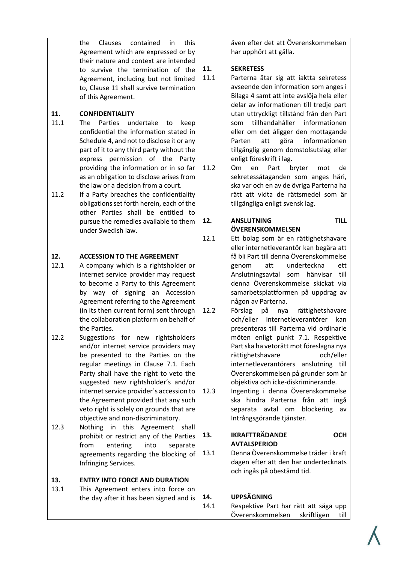the Clauses contained in this Agreement which are expressed or by their nature and context are intended to survive the termination of the Agreement, including but not limited to, Clause 11 shall survive termination of this Agreement.

#### <span id="page-7-0"></span>**11. CONFIDENTIALITY**

- 11.1 The Parties undertake to keep confidential the information stated in Schedule 4, and not to disclose it or any part of it to any third party without the express permission of the Party providing the information or in so far as an obligation to disclose arises from the law or a decision from a court.
- 11.2 If a Party breaches the confidentiality obligations set forth herein, each of the other Parties shall be entitled to pursue the remedies available to them under Swedish law.

#### <span id="page-7-1"></span>**12. ACCESSION TO THE AGREEMENT**

- 12.1 A company which is a rightsholder or internet service provider may request to become a Party to this Agreement by way of signing an Accession Agreement referring to the Agreement (in its then current form) sent through the collaboration platform on behalf of the Parties.
- 12.2 Suggestions for new rightsholders and/or internet service providers may be presented to the Parties on the regular meetings in Clause 7.1. Each Party shall have the right to veto the suggested new rightsholder's and/or internet service provider´s accession to the Agreement provided that any such veto right is solely on grounds that are objective and non-discriminatory.
- 12.3 Nothing in this Agreement shall prohibit or restrict any of the Parties from entering into separate agreements regarding the blocking of Infringing Services.

#### <span id="page-7-2"></span>**13. ENTRY INTO FORCE AND DURATION**

13.1 This Agreement enters into force on the day after it has been signed and is även efter det att Överenskommelsen har upphört att gälla.

#### <span id="page-7-3"></span>**11. SEKRETESS**

- 11.1 Parterna åtar sig att iaktta sekretess avseende den information som anges i Bilaga [4](#page-4-1) samt att inte avslöja hela eller delar av informationen till tredje part utan uttryckligt tillstånd från den Part som tillhandahåller informationen eller om det åligger den mottagande Parten att göra informationen tillgänglig genom domstolsutslag eller enligt föreskrift i lag.
- 11.2 Om en Part bryter mot de sekretessåtaganden som anges häri, ska var och en av de övriga Parterna ha rätt att vidta de rättsmedel som är tillgängliga enligt svensk lag.

#### <span id="page-7-4"></span>**12. ANSLUTNING TILL ÖVERENSKOMMELSEN**

- 12.1 Ett bolag som är en rättighetshavare eller internetleverantör kan begära att få bli Part till denna Överenskommelse genom att underteckna ett Anslutningsavtal som hänvisar till denna Överenskommelse skickat via samarbetsplattformen på uppdrag av någon av Parterna.
- 12.2 Förslag på nya rättighetshavare och/eller internetleverantörer kan presenteras till Parterna vid ordinarie möten enligt punkt [7.1.](#page-5-7) Respektive Part ska ha vetorätt mot föreslagna nya rättighetshavare och/eller internetleverantörers anslutning till Överenskommelsen på grunder som är objektiva och icke-diskriminerande.
- 12.3 Ingenting i denna Överenskommelse ska hindra Parterna från att ingå separata avtal om blockering av Intrångsgörande tjänster.
- <span id="page-7-5"></span>**13. IKRAFTTRÄDANDE OCH AVTALSPERIOD**
- 13.1 Denna Överenskommelse träder i kraft dagen efter att den har undertecknats och ingås på obestämd tid.

#### <span id="page-7-6"></span>**14. UPPSÄGNING**

14.1 Respektive Part har rätt att säga upp Överenskommelsen skriftligen till